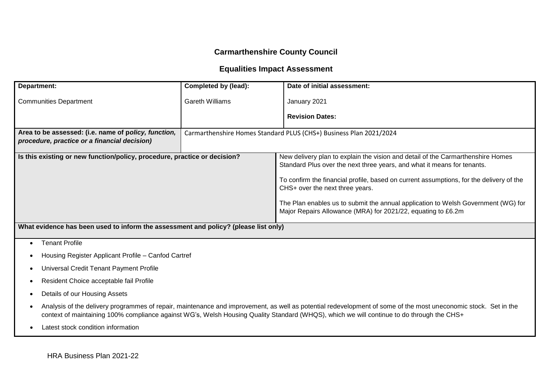# **Carmarthenshire County Council**

# **Equalities Impact Assessment**

| Department:                                                                                                                                                                                                                                                                                                               | Completed by (lead):                                                                                                                                                                                                                    | Date of initial assessment:                                        |  |  |  |
|---------------------------------------------------------------------------------------------------------------------------------------------------------------------------------------------------------------------------------------------------------------------------------------------------------------------------|-----------------------------------------------------------------------------------------------------------------------------------------------------------------------------------------------------------------------------------------|--------------------------------------------------------------------|--|--|--|
| <b>Communities Department</b>                                                                                                                                                                                                                                                                                             | <b>Gareth Williams</b>                                                                                                                                                                                                                  | January 2021                                                       |  |  |  |
|                                                                                                                                                                                                                                                                                                                           |                                                                                                                                                                                                                                         | <b>Revision Dates:</b>                                             |  |  |  |
| Area to be assessed: (i.e. name of policy, function,                                                                                                                                                                                                                                                                      |                                                                                                                                                                                                                                         | Carmarthenshire Homes Standard PLUS (CHS+) Business Plan 2021/2024 |  |  |  |
| procedure, practice or a financial decision)                                                                                                                                                                                                                                                                              |                                                                                                                                                                                                                                         |                                                                    |  |  |  |
|                                                                                                                                                                                                                                                                                                                           | Is this existing or new function/policy, procedure, practice or decision?<br>New delivery plan to explain the vision and detail of the Carmarthenshire Homes<br>Standard Plus over the next three years, and what it means for tenants. |                                                                    |  |  |  |
| To confirm the financial profile, based on current assumptions, for the delivery of the<br>CHS+ over the next three years.                                                                                                                                                                                                |                                                                                                                                                                                                                                         |                                                                    |  |  |  |
| The Plan enables us to submit the annual application to Welsh Government (WG) for<br>Major Repairs Allowance (MRA) for 2021/22, equating to £6.2m                                                                                                                                                                         |                                                                                                                                                                                                                                         |                                                                    |  |  |  |
| What evidence has been used to inform the assessment and policy? (please list only)                                                                                                                                                                                                                                       |                                                                                                                                                                                                                                         |                                                                    |  |  |  |
| <b>Tenant Profile</b><br>$\bullet$                                                                                                                                                                                                                                                                                        |                                                                                                                                                                                                                                         |                                                                    |  |  |  |
|                                                                                                                                                                                                                                                                                                                           | Housing Register Applicant Profile – Canfod Cartref                                                                                                                                                                                     |                                                                    |  |  |  |
| Universal Credit Tenant Payment Profile<br>٠                                                                                                                                                                                                                                                                              |                                                                                                                                                                                                                                         |                                                                    |  |  |  |
| Resident Choice acceptable fail Profile<br>$\bullet$                                                                                                                                                                                                                                                                      |                                                                                                                                                                                                                                         |                                                                    |  |  |  |
| Details of our Housing Assets<br>$\bullet$                                                                                                                                                                                                                                                                                |                                                                                                                                                                                                                                         |                                                                    |  |  |  |
| Analysis of the delivery programmes of repair, maintenance and improvement, as well as potential redevelopment of some of the most uneconomic stock. Set in the<br>$\bullet$<br>context of maintaining 100% compliance against WG's, Welsh Housing Quality Standard (WHQS), which we will continue to do through the CHS+ |                                                                                                                                                                                                                                         |                                                                    |  |  |  |
| Latest stock condition information<br>$\bullet$                                                                                                                                                                                                                                                                           |                                                                                                                                                                                                                                         |                                                                    |  |  |  |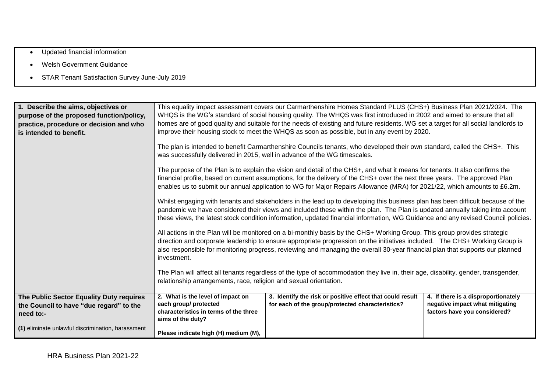- Updated financial information
- Welsh Government Guidance
- STAR Tenant Satisfaction Survey June-July 2019

| 1. Describe the aims, objectives or<br>purpose of the proposed function/policy,<br>practice, procedure or decision and who<br>is intended to benefit. | This equality impact assessment covers our Carmarthenshire Homes Standard PLUS (CHS+) Business Plan 2021/2024. The<br>WHQS is the WG's standard of social housing quality. The WHQS was first introduced in 2002 and aimed to ensure that all<br>homes are of good quality and suitable for the needs of existing and future residents. WG set a target for all social landlords to<br>improve their housing stock to meet the WHQS as soon as possible, but in any event by 2020. |                                                                                                               |                                                                                                        |  |  |
|-------------------------------------------------------------------------------------------------------------------------------------------------------|------------------------------------------------------------------------------------------------------------------------------------------------------------------------------------------------------------------------------------------------------------------------------------------------------------------------------------------------------------------------------------------------------------------------------------------------------------------------------------|---------------------------------------------------------------------------------------------------------------|--------------------------------------------------------------------------------------------------------|--|--|
|                                                                                                                                                       | The plan is intended to benefit Carmarthenshire Councils tenants, who developed their own standard, called the CHS+. This<br>was successfully delivered in 2015, well in advance of the WG timescales.                                                                                                                                                                                                                                                                             |                                                                                                               |                                                                                                        |  |  |
|                                                                                                                                                       | The purpose of the Plan is to explain the vision and detail of the CHS+, and what it means for tenants. It also confirms the<br>financial profile, based on current assumptions, for the delivery of the CHS+ over the next three years. The approved Plan<br>enables us to submit our annual application to WG for Major Repairs Allowance (MRA) for 2021/22, which amounts to £6.2m.                                                                                             |                                                                                                               |                                                                                                        |  |  |
|                                                                                                                                                       | Whilst engaging with tenants and stakeholders in the lead up to developing this business plan has been difficult because of the<br>pandemic we have considered their views and included these within the plan. The Plan is updated annually taking into account<br>these views, the latest stock condition information, updated financial information, WG Guidance and any revised Council policies.                                                                               |                                                                                                               |                                                                                                        |  |  |
|                                                                                                                                                       | All actions in the Plan will be monitored on a bi-monthly basis by the CHS+ Working Group. This group provides strategic<br>direction and corporate leadership to ensure appropriate progression on the initiatives included. The CHS+ Working Group is<br>also responsible for monitoring progress, reviewing and managing the overall 30-year financial plan that supports our planned<br>investment.                                                                            |                                                                                                               |                                                                                                        |  |  |
|                                                                                                                                                       | The Plan will affect all tenants regardless of the type of accommodation they live in, their age, disability, gender, transgender,<br>relationship arrangements, race, religion and sexual orientation.                                                                                                                                                                                                                                                                            |                                                                                                               |                                                                                                        |  |  |
| The Public Sector Equality Duty requires<br>the Council to have "due regard" to the<br>need to:-                                                      | 2. What is the level of impact on<br>each group/ protected<br>characteristics in terms of the three<br>aims of the duty?                                                                                                                                                                                                                                                                                                                                                           | 3. Identify the risk or positive effect that could result<br>for each of the group/protected characteristics? | 4. If there is a disproportionately<br>negative impact what mitigating<br>factors have you considered? |  |  |
| (1) eliminate unlawful discrimination, harassment                                                                                                     | Please indicate high (H) medium (M),                                                                                                                                                                                                                                                                                                                                                                                                                                               |                                                                                                               |                                                                                                        |  |  |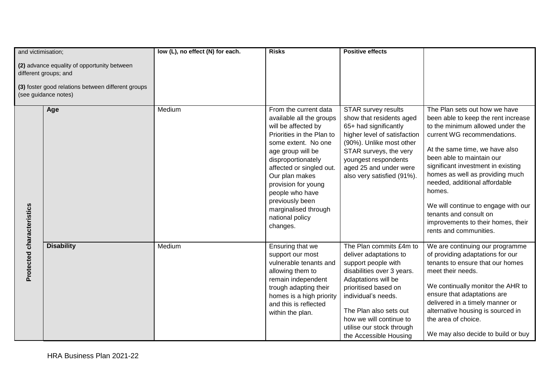| and victimisation;        |                                                                                                                                                    | low (L), no effect (N) for each. | <b>Risks</b>                                                                                                                                                                                                                                                                                                                              | <b>Positive effects</b>                                                                                                                                                                                                                                                                  |                                                                                                                                                                                                                                                                                                                                                                                                                                                             |
|---------------------------|----------------------------------------------------------------------------------------------------------------------------------------------------|----------------------------------|-------------------------------------------------------------------------------------------------------------------------------------------------------------------------------------------------------------------------------------------------------------------------------------------------------------------------------------------|------------------------------------------------------------------------------------------------------------------------------------------------------------------------------------------------------------------------------------------------------------------------------------------|-------------------------------------------------------------------------------------------------------------------------------------------------------------------------------------------------------------------------------------------------------------------------------------------------------------------------------------------------------------------------------------------------------------------------------------------------------------|
|                           | (2) advance equality of opportunity between<br>different groups; and<br>(3) foster good relations between different groups<br>(see guidance notes) |                                  |                                                                                                                                                                                                                                                                                                                                           |                                                                                                                                                                                                                                                                                          |                                                                                                                                                                                                                                                                                                                                                                                                                                                             |
|                           | Age                                                                                                                                                | Medium                           | From the current data<br>available all the groups<br>will be affected by<br>Priorities in the Plan to<br>some extent. No one<br>age group will be<br>disproportionately<br>affected or singled out.<br>Our plan makes<br>provision for young<br>people who have<br>previously been<br>marginalised through<br>national policy<br>changes. | <b>STAR survey results</b><br>show that residents aged<br>65+ had significantly<br>higher level of satisfaction<br>(90%). Unlike most other<br>STAR surveys, the very<br>youngest respondents<br>aged 25 and under were<br>also very satisfied (91%).                                    | The Plan sets out how we have<br>been able to keep the rent increase<br>to the minimum allowed under the<br>current WG recommendations.<br>At the same time, we have also<br>been able to maintain our<br>significant investment in existing<br>homes as well as providing much<br>needed, additional affordable<br>homes.<br>We will continue to engage with our<br>tenants and consult on<br>improvements to their homes, their<br>rents and communities. |
| Protected characteristics | <b>Disability</b>                                                                                                                                  | Medium                           | Ensuring that we<br>support our most<br>vulnerable tenants and<br>allowing them to<br>remain independent<br>trough adapting their<br>homes is a high priority<br>and this is reflected<br>within the plan.                                                                                                                                | The Plan commits £4m to<br>deliver adaptations to<br>support people with<br>disabilities over 3 years.<br>Adaptations will be<br>prioritised based on<br>individual's needs.<br>The Plan also sets out<br>how we will continue to<br>utilise our stock through<br>the Accessible Housing | We are continuing our programme<br>of providing adaptations for our<br>tenants to ensure that our homes<br>meet their needs.<br>We continually monitor the AHR to<br>ensure that adaptations are<br>delivered in a timely manner or<br>alternative housing is sourced in<br>the area of choice.<br>We may also decide to build or buy                                                                                                                       |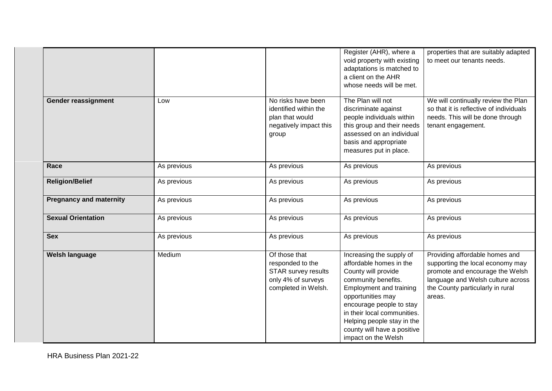|                                |             |                                                                                                              | Register (AHR), where a<br>void property with existing<br>adaptations is matched to<br>a client on the AHR<br>whose needs will be met.                                                                                                                                                                  | properties that are suitably adapted<br>to meet our tenants needs.                                                                                                                       |
|--------------------------------|-------------|--------------------------------------------------------------------------------------------------------------|---------------------------------------------------------------------------------------------------------------------------------------------------------------------------------------------------------------------------------------------------------------------------------------------------------|------------------------------------------------------------------------------------------------------------------------------------------------------------------------------------------|
| Gender reassignment            | Low         | No risks have been<br>identified within the<br>plan that would<br>negatively impact this<br>group            | The Plan will not<br>discriminate against<br>people individuals within<br>this group and their needs<br>assessed on an individual<br>basis and appropriate<br>measures put in place.                                                                                                                    | We will continually review the Plan<br>so that it is reflective of individuals<br>needs. This will be done through<br>tenant engagement.                                                 |
| Race                           | As previous | As previous                                                                                                  | As previous                                                                                                                                                                                                                                                                                             | As previous                                                                                                                                                                              |
| <b>Religion/Belief</b>         | As previous | As previous                                                                                                  | As previous                                                                                                                                                                                                                                                                                             | As previous                                                                                                                                                                              |
| <b>Pregnancy and maternity</b> | As previous | As previous                                                                                                  | As previous                                                                                                                                                                                                                                                                                             | As previous                                                                                                                                                                              |
| <b>Sexual Orientation</b>      | As previous | As previous                                                                                                  | As previous                                                                                                                                                                                                                                                                                             | As previous                                                                                                                                                                              |
| <b>Sex</b>                     | As previous | As previous                                                                                                  | As previous                                                                                                                                                                                                                                                                                             | As previous                                                                                                                                                                              |
| Welsh language                 | Medium      | Of those that<br>responded to the<br><b>STAR survey results</b><br>only 4% of surveys<br>completed in Welsh. | Increasing the supply of<br>affordable homes in the<br>County will provide<br>community benefits.<br><b>Employment and training</b><br>opportunities may<br>encourage people to stay<br>in their local communities.<br>Helping people stay in the<br>county will have a positive<br>impact on the Welsh | Providing affordable homes and<br>supporting the local economy may<br>promote and encourage the Welsh<br>language and Welsh culture across<br>the County particularly in rural<br>areas. |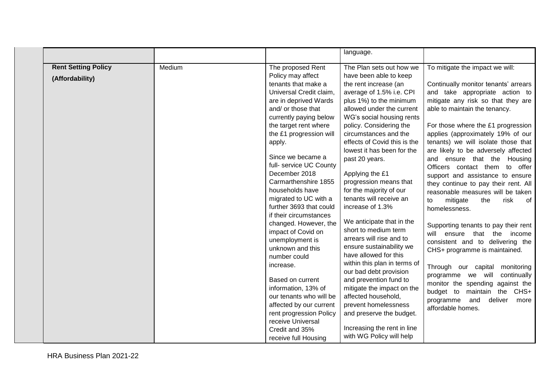|                                               |        |                                                                                                                                                                                                                                                                                                                                                                                                                                                                                                                                                                                                                                                                                                                                         | language.                                                                                                                                                                                                                                                                                                                                                                                                                                                                                                                                                                                                                                                                                                                                                                                                                                             |                                                                                                                                                                                                                                                                                                                                                                                                                                                                                                                                                                                                                                                                                                                                                                                                                                                                                                                                            |
|-----------------------------------------------|--------|-----------------------------------------------------------------------------------------------------------------------------------------------------------------------------------------------------------------------------------------------------------------------------------------------------------------------------------------------------------------------------------------------------------------------------------------------------------------------------------------------------------------------------------------------------------------------------------------------------------------------------------------------------------------------------------------------------------------------------------------|-------------------------------------------------------------------------------------------------------------------------------------------------------------------------------------------------------------------------------------------------------------------------------------------------------------------------------------------------------------------------------------------------------------------------------------------------------------------------------------------------------------------------------------------------------------------------------------------------------------------------------------------------------------------------------------------------------------------------------------------------------------------------------------------------------------------------------------------------------|--------------------------------------------------------------------------------------------------------------------------------------------------------------------------------------------------------------------------------------------------------------------------------------------------------------------------------------------------------------------------------------------------------------------------------------------------------------------------------------------------------------------------------------------------------------------------------------------------------------------------------------------------------------------------------------------------------------------------------------------------------------------------------------------------------------------------------------------------------------------------------------------------------------------------------------------|
| <b>Rent Setting Policy</b><br>(Affordability) | Medium | The proposed Rent<br>Policy may affect<br>tenants that make a<br>Universal Credit claim,<br>are in deprived Wards<br>and/ or those that<br>currently paying below<br>the target rent where<br>the £1 progression will<br>apply.<br>Since we became a<br>full- service UC County<br>December 2018<br>Carmarthenshire 1855<br>households have<br>migrated to UC with a<br>further 3693 that could<br>if their circumstances<br>changed. However, the<br>impact of Covid on<br>unemployment is<br>unknown and this<br>number could<br>increase.<br>Based on current<br>information, 13% of<br>our tenants who will be<br>affected by our current<br>rent progression Policy<br>receive Universal<br>Credit and 35%<br>receive full Housing | The Plan sets out how we<br>have been able to keep<br>the rent increase (an<br>average of 1.5% i.e. CPI<br>plus 1%) to the minimum<br>allowed under the current<br>WG's social housing rents<br>policy. Considering the<br>circumstances and the<br>effects of Covid this is the<br>lowest it has been for the<br>past 20 years.<br>Applying the £1<br>progression means that<br>for the majority of our<br>tenants will receive an<br>increase of 1.3%<br>We anticipate that in the<br>short to medium term<br>arrears will rise and to<br>ensure sustainability we<br>have allowed for this<br>within this plan in terms of<br>our bad debt provision<br>and prevention fund to<br>mitigate the impact on the<br>affected household,<br>prevent homelessness<br>and preserve the budget.<br>Increasing the rent in line<br>with WG Policy will help | To mitigate the impact we will:<br>Continually monitor tenants' arrears<br>and take appropriate action to<br>mitigate any risk so that they are<br>able to maintain the tenancy.<br>For those where the £1 progression<br>applies (approximately 19% of our<br>tenants) we will isolate those that<br>are likely to be adversely affected<br>and ensure that the Housing<br>Officers contact them to offer<br>support and assistance to ensure<br>they continue to pay their rent. All<br>reasonable measures will be taken<br>risk<br>mitigate<br>the<br>of<br>to<br>homelessness.<br>Supporting tenants to pay their rent<br>will ensure that the income<br>consistent and to delivering the<br>CHS+ programme is maintained.<br>Through our capital<br>monitoring<br>programme we will<br>continually<br>monitor the spending against the<br>budget to<br>maintain the CHS+<br>programme<br>and<br>deliver<br>more<br>affordable homes. |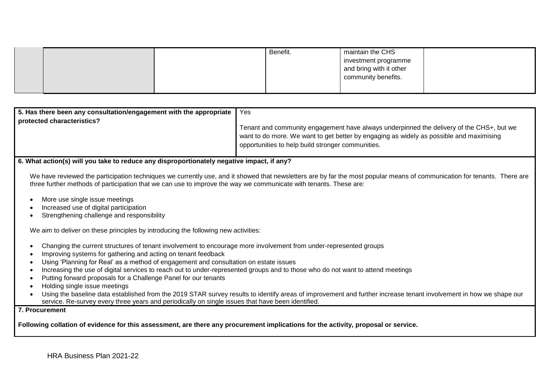|  | Benefit. | maintain the CHS        |  |
|--|----------|-------------------------|--|
|  |          | investment programme    |  |
|  |          | and bring with it other |  |
|  |          | community benefits.     |  |
|  |          |                         |  |

| 5. Has there been any consultation/engagement with the appropriate   Yes |                                                                                          |
|--------------------------------------------------------------------------|------------------------------------------------------------------------------------------|
| protected characteristics?                                               |                                                                                          |
|                                                                          | Tenant and community engagement have always underpinned the delivery of the CHS+, but we |
|                                                                          | want to do more. We want to get better by engaging as widely as possible and maximising  |
|                                                                          | opportunities to help build stronger communities.                                        |
|                                                                          |                                                                                          |

#### **6. What action(s) will you take to reduce any disproportionately negative impact, if any?**

We have reviewed the participation techniques we currently use, and it showed that newsletters are by far the most popular means of communication for tenants. There are three further methods of participation that we can use to improve the way we communicate with tenants. These are:

- More use single issue meetings
- Increased use of digital participation
- Strengthening challenge and responsibility

We aim to deliver on these principles by introducing the following new activities:

- Changing the current structures of tenant involvement to encourage more involvement from under-represented groups
- Improving systems for gathering and acting on tenant feedback
- Using 'Planning for Real' as a method of engagement and consultation on estate issues
- Increasing the use of digital services to reach out to under-represented groups and to those who do not want to attend meetings
- Putting forward proposals for a Challenge Panel for our tenants
- Holding single issue meetings
- Using the baseline data established from the 2019 STAR survey results to identify areas of improvement and further increase tenant involvement in how we shape our service. Re-survey every three years and periodically on single issues that have been identified.

**7. Procurement** 

**Following collation of evidence for this assessment, are there any procurement implications for the activity, proposal or service.**